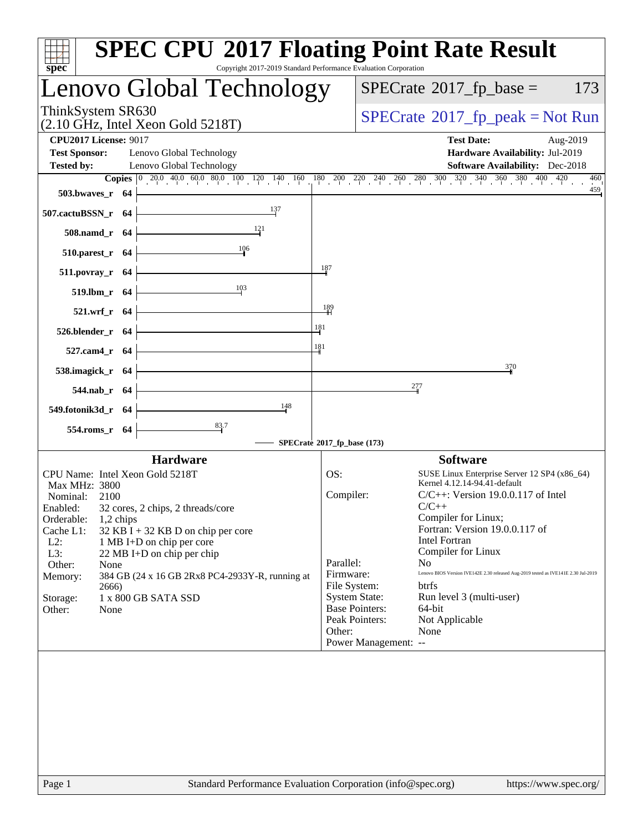| spec <sup>®</sup>                                                                | <b>SPEC CPU®2017 Floating Point Rate Result</b><br>Copyright 2017-2019 Standard Performance Evaluation Corporation                                                                   |
|----------------------------------------------------------------------------------|--------------------------------------------------------------------------------------------------------------------------------------------------------------------------------------|
| Lenovo Global Technology                                                         | $SPECrate^{\circ}2017$ _fp_base =<br>173                                                                                                                                             |
| ThinkSystem SR630<br>$(2.10 \text{ GHz}, \text{Intel Xeon Gold } 5218 \text{T})$ | $SPECTate$ <sup>®</sup> 2017_fp_peak = Not Run                                                                                                                                       |
| <b>CPU2017 License: 9017</b><br><b>Test Sponsor:</b><br>Lenovo Global Technology | <b>Test Date:</b><br>Aug-2019<br>Hardware Availability: Jul-2019                                                                                                                     |
| <b>Tested by:</b><br>Lenovo Global Technology                                    | <b>Software Availability:</b> Dec-2018                                                                                                                                               |
|                                                                                  | <b>Copies</b> $\begin{bmatrix} 0 & 200 & 400 & 600 & 800 & 100 & 120 & 140 & 160 & 180 & 200 & 220 & 240 & 260 & 280 & 300 & 320 & 340 & 360 & 380 & 400 & 420 \end{bmatrix}$<br>460 |
| 503.bwayes_r 64                                                                  | 459                                                                                                                                                                                  |
| 137<br>507.cactuBSSN_r 64                                                        |                                                                                                                                                                                      |
| 121<br>508.namd_r 64                                                             |                                                                                                                                                                                      |
| 106<br>510.parest_r 64                                                           | 187                                                                                                                                                                                  |
| $511. povray_r$ 64<br>103                                                        |                                                                                                                                                                                      |
| 519.1bm r 64<br>521.wrf_r 64                                                     | 189                                                                                                                                                                                  |
| 526.blender_r 64                                                                 | 181                                                                                                                                                                                  |
| 527.cam4_r 64                                                                    | 181                                                                                                                                                                                  |
| 538.imagick_r 64                                                                 | 370                                                                                                                                                                                  |
| 544.nab_r 64                                                                     | 277                                                                                                                                                                                  |
| 148<br>549.fotonik3d_r 64                                                        |                                                                                                                                                                                      |
| 83.7<br>554.roms_r 64                                                            |                                                                                                                                                                                      |
|                                                                                  | SPECrate®2017_fp_base (173)                                                                                                                                                          |
| <b>Hardware</b>                                                                  | <b>Software</b>                                                                                                                                                                      |
| CPU Name: Intel Xeon Gold 5218T                                                  | OS:<br>SUSE Linux Enterprise Server 12 SP4 (x86_64)                                                                                                                                  |
| Max MHz: 3800                                                                    | Kernel 4.12.14-94.41-default                                                                                                                                                         |
| Nominal:<br>2100                                                                 | Compiler:<br>$C/C++$ : Version 19.0.0.117 of Intel                                                                                                                                   |
| 32 cores, 2 chips, 2 threads/core<br>Enabled:                                    | $C/C++$                                                                                                                                                                              |
| Orderable:<br>$1,2$ chips                                                        | Compiler for Linux;                                                                                                                                                                  |
| Cache L1:<br>$32$ KB I + 32 KB D on chip per core                                | Fortran: Version 19.0.0.117 of                                                                                                                                                       |
| $L2$ :<br>1 MB I+D on chip per core                                              | <b>Intel Fortran</b>                                                                                                                                                                 |
| L3:<br>22 MB I+D on chip per chip                                                | Compiler for Linux<br>Parallel:<br>N <sub>0</sub>                                                                                                                                    |
| Other:<br>None<br>Memory:                                                        | Lenovo BIOS Version IVE142E 2.30 released Aug-2019 tested as IVE141E 2.30 Jul-2019<br>Firmware:                                                                                      |
| 384 GB (24 x 16 GB 2Rx8 PC4-2933Y-R, running at<br>2666)                         | File System:<br>btrfs                                                                                                                                                                |
| 1 x 800 GB SATA SSD<br>Storage:                                                  | <b>System State:</b><br>Run level 3 (multi-user)                                                                                                                                     |
| Other:<br>None                                                                   | <b>Base Pointers:</b><br>64-bit                                                                                                                                                      |
|                                                                                  | Peak Pointers:<br>Not Applicable                                                                                                                                                     |
|                                                                                  | Other:<br>None                                                                                                                                                                       |
|                                                                                  | Power Management: --                                                                                                                                                                 |
|                                                                                  |                                                                                                                                                                                      |
| Page 1                                                                           | Standard Performance Evaluation Corporation (info@spec.org)<br>https://www.spec.org/                                                                                                 |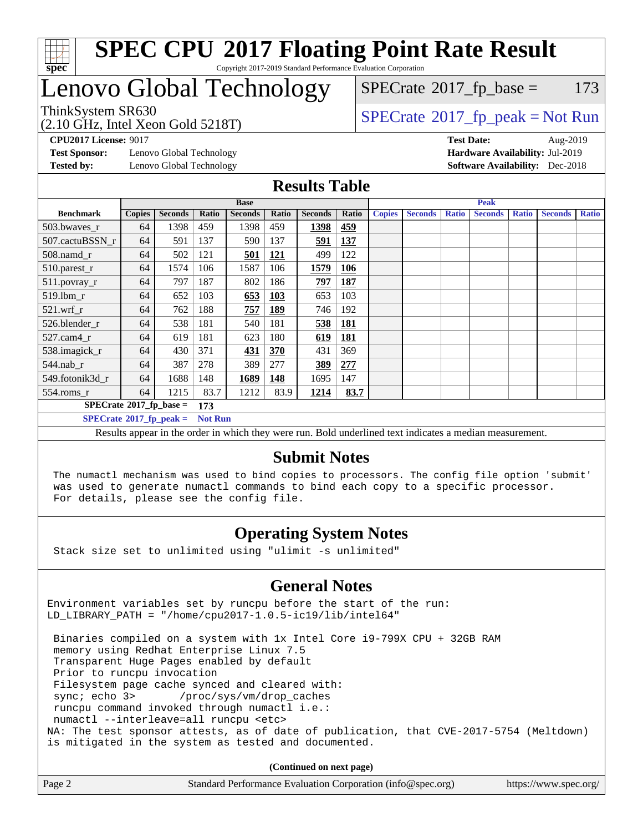

# Lenovo Global Technology

 $SPECTate$ <sup>®</sup>[2017\\_fp\\_base =](http://www.spec.org/auto/cpu2017/Docs/result-fields.html#SPECrate2017fpbase) 173

(2.10 GHz, Intel Xeon Gold 5218T)

 $SPECTate@2017_fp\_peak = Not Run$ 

**[Test Sponsor:](http://www.spec.org/auto/cpu2017/Docs/result-fields.html#TestSponsor)** Lenovo Global Technology **[Hardware Availability:](http://www.spec.org/auto/cpu2017/Docs/result-fields.html#HardwareAvailability)** Jul-2019 **[Tested by:](http://www.spec.org/auto/cpu2017/Docs/result-fields.html#Testedby)** Lenovo Global Technology **[Software Availability:](http://www.spec.org/auto/cpu2017/Docs/result-fields.html#SoftwareAvailability)** Dec-2018

**[CPU2017 License:](http://www.spec.org/auto/cpu2017/Docs/result-fields.html#CPU2017License)** 9017 **[Test Date:](http://www.spec.org/auto/cpu2017/Docs/result-fields.html#TestDate)** Aug-2019

## **[Results Table](http://www.spec.org/auto/cpu2017/Docs/result-fields.html#ResultsTable)**

|                                        | <b>Base</b>   |                |                |                |            |                | <b>Peak</b> |               |                |              |                |              |                |              |
|----------------------------------------|---------------|----------------|----------------|----------------|------------|----------------|-------------|---------------|----------------|--------------|----------------|--------------|----------------|--------------|
| <b>Benchmark</b>                       | <b>Copies</b> | <b>Seconds</b> | Ratio          | <b>Seconds</b> | Ratio      | <b>Seconds</b> | Ratio       | <b>Copies</b> | <b>Seconds</b> | <b>Ratio</b> | <b>Seconds</b> | <b>Ratio</b> | <b>Seconds</b> | <b>Ratio</b> |
| 503.bwaves_r                           | 64            | 1398           | 459            | 1398           | 459        | 1398           | 459         |               |                |              |                |              |                |              |
| 507.cactuBSSN r                        | 64            | 591            | 137            | 590            | 137        | 591            | 137         |               |                |              |                |              |                |              |
| 508.namd_r                             | 64            | 502            | 121            | 501            | 121        | 499            | 122         |               |                |              |                |              |                |              |
| 510.parest_r                           | 64            | 1574           | 106            | 1587           | 106        | 1579           | 106         |               |                |              |                |              |                |              |
| 511.povray_r                           | 64            | 797            | 187            | 802            | 186        | 797            | 187         |               |                |              |                |              |                |              |
| 519.lbm r                              | 64            | 652            | 103            | 653            | <b>103</b> | 653            | 103         |               |                |              |                |              |                |              |
| $521$ .wrf r                           | 64            | 762            | 188            | 757            | <b>189</b> | 746            | 192         |               |                |              |                |              |                |              |
| 526.blender_r                          | 64            | 538            | 181            | 540            | 181        | 538            | <b>181</b>  |               |                |              |                |              |                |              |
| $527$ .cam $4$ r                       | 64            | 619            | 181            | 623            | 180        | 619            | 181         |               |                |              |                |              |                |              |
| 538.imagick_r                          | 64            | 430            | 371            | 431            | 370        | 431            | 369         |               |                |              |                |              |                |              |
| $544.nab$ _r                           | 64            | 387            | 278            | 389            | 277        | 389            | 277         |               |                |              |                |              |                |              |
| 549.fotonik3d r                        | 64            | 1688           | 148            | 1689           | 148        | 1695           | 147         |               |                |              |                |              |                |              |
| 554.roms_r                             | 64            | 1215           | 83.7           | 1212           | 83.9       | 1214           | 83.7        |               |                |              |                |              |                |              |
| $SPECrate$ <sup>®</sup> 2017_fp_base = |               |                | 173            |                |            |                |             |               |                |              |                |              |                |              |
| $SPECrate^{\circ}2017$ _fp_peak =      |               |                | <b>Not Run</b> |                |            |                |             |               |                |              |                |              |                |              |

Results appear in the [order in which they were run.](http://www.spec.org/auto/cpu2017/Docs/result-fields.html#RunOrder) Bold underlined text [indicates a median measurement.](http://www.spec.org/auto/cpu2017/Docs/result-fields.html#Median)

## **[Submit Notes](http://www.spec.org/auto/cpu2017/Docs/result-fields.html#SubmitNotes)**

 The numactl mechanism was used to bind copies to processors. The config file option 'submit' was used to generate numactl commands to bind each copy to a specific processor. For details, please see the config file.

## **[Operating System Notes](http://www.spec.org/auto/cpu2017/Docs/result-fields.html#OperatingSystemNotes)**

Stack size set to unlimited using "ulimit -s unlimited"

## **[General Notes](http://www.spec.org/auto/cpu2017/Docs/result-fields.html#GeneralNotes)**

Environment variables set by runcpu before the start of the run: LD\_LIBRARY\_PATH = "/home/cpu2017-1.0.5-ic19/lib/intel64"

 Binaries compiled on a system with 1x Intel Core i9-799X CPU + 32GB RAM memory using Redhat Enterprise Linux 7.5 Transparent Huge Pages enabled by default Prior to runcpu invocation Filesystem page cache synced and cleared with: sync; echo 3> /proc/sys/vm/drop\_caches runcpu command invoked through numactl i.e.: numactl --interleave=all runcpu <etc> NA: The test sponsor attests, as of date of publication, that CVE-2017-5754 (Meltdown) is mitigated in the system as tested and documented.

**(Continued on next page)**

| Page 2 | Standard Performance Evaluation Corporation (info@spec.org) | https://www.spec.org/ |
|--------|-------------------------------------------------------------|-----------------------|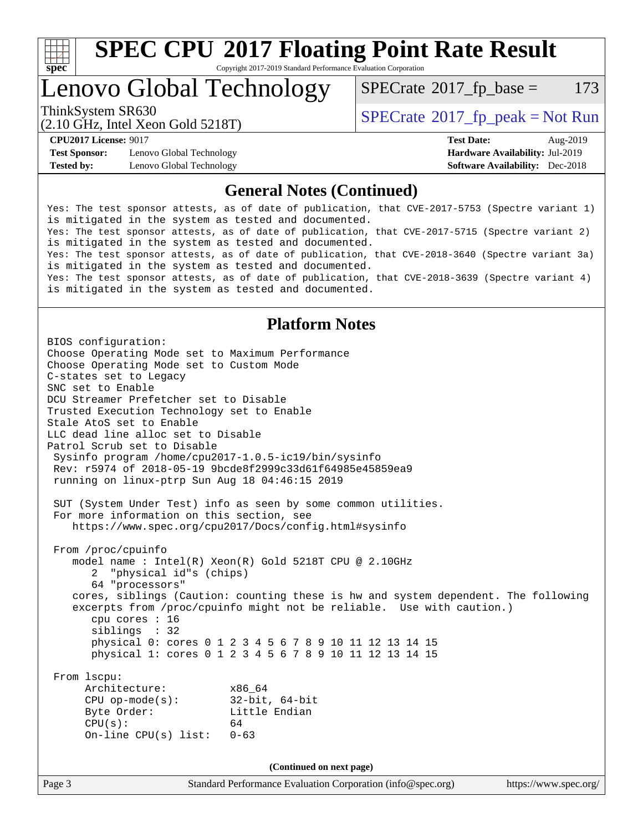

# **[SPEC CPU](http://www.spec.org/auto/cpu2017/Docs/result-fields.html#SPECCPU2017FloatingPointRateResult)[2017 Floating Point Rate Result](http://www.spec.org/auto/cpu2017/Docs/result-fields.html#SPECCPU2017FloatingPointRateResult)**

Copyright 2017-2019 Standard Performance Evaluation Corporation

# Lenovo Global Technology

 $SPECTate$ <sup>®</sup>[2017\\_fp\\_base =](http://www.spec.org/auto/cpu2017/Docs/result-fields.html#SPECrate2017fpbase) 173

(2.10 GHz, Intel Xeon Gold 5218T)

ThinkSystem SR630<br>  $SPECTA = Not Run$ <br>  $SPECTA = Not Run$ 

**[Test Sponsor:](http://www.spec.org/auto/cpu2017/Docs/result-fields.html#TestSponsor)** Lenovo Global Technology **[Hardware Availability:](http://www.spec.org/auto/cpu2017/Docs/result-fields.html#HardwareAvailability)** Jul-2019 **[Tested by:](http://www.spec.org/auto/cpu2017/Docs/result-fields.html#Testedby)** Lenovo Global Technology **[Software Availability:](http://www.spec.org/auto/cpu2017/Docs/result-fields.html#SoftwareAvailability)** Dec-2018

**[CPU2017 License:](http://www.spec.org/auto/cpu2017/Docs/result-fields.html#CPU2017License)** 9017 **[Test Date:](http://www.spec.org/auto/cpu2017/Docs/result-fields.html#TestDate)** Aug-2019

## **[General Notes \(Continued\)](http://www.spec.org/auto/cpu2017/Docs/result-fields.html#GeneralNotes)**

Yes: The test sponsor attests, as of date of publication, that CVE-2017-5753 (Spectre variant 1) is mitigated in the system as tested and documented. Yes: The test sponsor attests, as of date of publication, that CVE-2017-5715 (Spectre variant 2) is mitigated in the system as tested and documented. Yes: The test sponsor attests, as of date of publication, that CVE-2018-3640 (Spectre variant 3a) is mitigated in the system as tested and documented. Yes: The test sponsor attests, as of date of publication, that CVE-2018-3639 (Spectre variant 4) is mitigated in the system as tested and documented.

## **[Platform Notes](http://www.spec.org/auto/cpu2017/Docs/result-fields.html#PlatformNotes)**

Page 3 Standard Performance Evaluation Corporation [\(info@spec.org\)](mailto:info@spec.org) <https://www.spec.org/> BIOS configuration: Choose Operating Mode set to Maximum Performance Choose Operating Mode set to Custom Mode C-states set to Legacy SNC set to Enable DCU Streamer Prefetcher set to Disable Trusted Execution Technology set to Enable Stale AtoS set to Enable LLC dead line alloc set to Disable Patrol Scrub set to Disable Sysinfo program /home/cpu2017-1.0.5-ic19/bin/sysinfo Rev: r5974 of 2018-05-19 9bcde8f2999c33d61f64985e45859ea9 running on linux-ptrp Sun Aug 18 04:46:15 2019 SUT (System Under Test) info as seen by some common utilities. For more information on this section, see <https://www.spec.org/cpu2017/Docs/config.html#sysinfo> From /proc/cpuinfo model name : Intel(R) Xeon(R) Gold 5218T CPU @ 2.10GHz 2 "physical id"s (chips) 64 "processors" cores, siblings (Caution: counting these is hw and system dependent. The following excerpts from /proc/cpuinfo might not be reliable. Use with caution.) cpu cores : 16 siblings : 32 physical 0: cores 0 1 2 3 4 5 6 7 8 9 10 11 12 13 14 15 physical 1: cores 0 1 2 3 4 5 6 7 8 9 10 11 12 13 14 15 From lscpu: Architecture: x86\_64 CPU op-mode(s): 32-bit, 64-bit Byte Order: Little Endian  $CPU(s):$  64 On-line CPU(s) list: 0-63 **(Continued on next page)**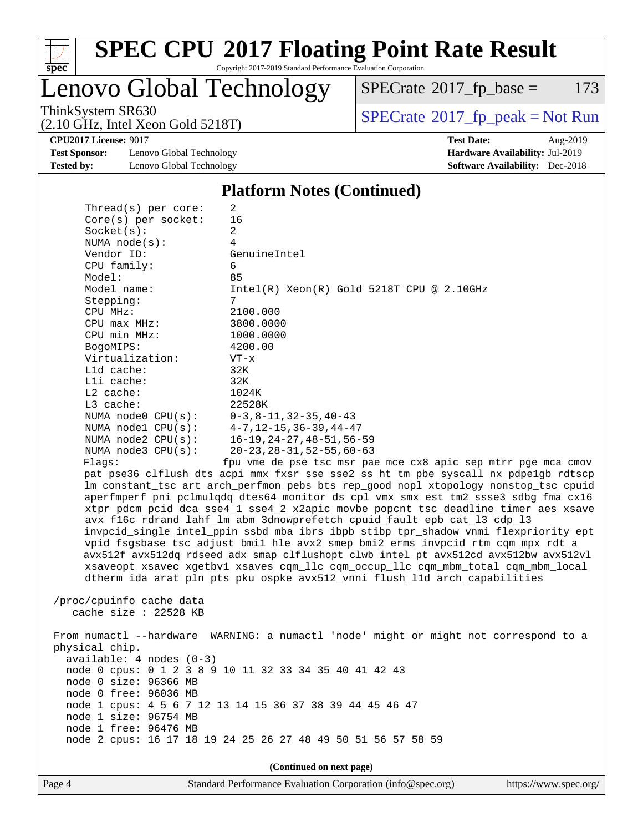

Lenovo Global Technology

 $SPECTate@2017_fp\_base = 173$ 

(2.10 GHz, Intel Xeon Gold 5218T)

ThinkSystem SR630<br>  $(2.10 \text{ GHz}_{\text{total}} \text{ York})$  Spectrate®[2017\\_fp\\_peak = N](http://www.spec.org/auto/cpu2017/Docs/result-fields.html#SPECrate2017fppeak)ot Run

**[CPU2017 License:](http://www.spec.org/auto/cpu2017/Docs/result-fields.html#CPU2017License)** 9017 **[Test Date:](http://www.spec.org/auto/cpu2017/Docs/result-fields.html#TestDate)** Aug-2019

**[Test Sponsor:](http://www.spec.org/auto/cpu2017/Docs/result-fields.html#TestSponsor)** Lenovo Global Technology **[Hardware Availability:](http://www.spec.org/auto/cpu2017/Docs/result-fields.html#HardwareAvailability)** Jul-2019 **[Tested by:](http://www.spec.org/auto/cpu2017/Docs/result-fields.html#Testedby)** Lenovo Global Technology **[Software Availability:](http://www.spec.org/auto/cpu2017/Docs/result-fields.html#SoftwareAvailability)** Dec-2018

### **[Platform Notes \(Continued\)](http://www.spec.org/auto/cpu2017/Docs/result-fields.html#PlatformNotes)**

| Thread( $s$ ) per core:                                                             | $\overline{2}$                                                                       |  |  |  |
|-------------------------------------------------------------------------------------|--------------------------------------------------------------------------------------|--|--|--|
| $Core(s)$ per socket:                                                               | 16                                                                                   |  |  |  |
| Socket(s):                                                                          | $\overline{2}$                                                                       |  |  |  |
| NUMA $node(s)$ :                                                                    | $\overline{4}$                                                                       |  |  |  |
| Vendor ID:                                                                          | GenuineIntel                                                                         |  |  |  |
| CPU family:                                                                         | 6                                                                                    |  |  |  |
| Model:                                                                              | 85                                                                                   |  |  |  |
| Model name:                                                                         | $Intel(R) Xeon(R) Gold 5218T CPU @ 2.10GHz$                                          |  |  |  |
| Stepping:                                                                           | $7^{\circ}$                                                                          |  |  |  |
| CPU MHz:                                                                            | 2100.000                                                                             |  |  |  |
| CPU max MHz:                                                                        | 3800.0000                                                                            |  |  |  |
| CPU min MHz:                                                                        | 1000.0000                                                                            |  |  |  |
| BogoMIPS:                                                                           | 4200.00                                                                              |  |  |  |
| Virtualization:                                                                     | $VT - x$                                                                             |  |  |  |
| L1d cache:                                                                          | 32K                                                                                  |  |  |  |
| Lli cache:                                                                          | 32K                                                                                  |  |  |  |
| $L2$ cache:                                                                         | 1024K                                                                                |  |  |  |
| $L3$ cache:                                                                         | 22528K                                                                               |  |  |  |
| NUMA node0 CPU(s): 0-3,8-11,32-35,40-43                                             |                                                                                      |  |  |  |
| NUMA nodel CPU(s): 4-7, 12-15, 36-39, 44-47                                         |                                                                                      |  |  |  |
| NUMA $node2$ $CPU(s):$                                                              | 16-19,24-27,48-51,56-59                                                              |  |  |  |
| NUMA node3 CPU(s):                                                                  | $20 - 23$ , $28 - 31$ , $52 - 55$ , $60 - 63$                                        |  |  |  |
| Flaqs:                                                                              | fpu vme de pse tsc msr pae mce cx8 apic sep mtrr pqe mca cmov                        |  |  |  |
|                                                                                     | pat pse36 clflush dts acpi mmx fxsr sse sse2 ss ht tm pbe syscall nx pdpelgb rdtscp  |  |  |  |
|                                                                                     | lm constant_tsc art arch_perfmon pebs bts rep_good nopl xtopology nonstop_tsc cpuid  |  |  |  |
|                                                                                     | aperfmperf pni pclmulqdq dtes64 monitor ds_cpl vmx smx est tm2 ssse3 sdbg fma cx16   |  |  |  |
|                                                                                     | xtpr pdcm pcid dca sse4_1 sse4_2 x2apic movbe popcnt tsc_deadline_timer aes xsave    |  |  |  |
| avx f16c rdrand lahf_lm abm 3dnowprefetch cpuid_fault epb cat_13 cdp_13             |                                                                                      |  |  |  |
| invpcid_single intel_ppin ssbd mba ibrs ibpb stibp tpr_shadow vnmi flexpriority ept |                                                                                      |  |  |  |
|                                                                                     | vpid fsgsbase tsc_adjust bmil hle avx2 smep bmi2 erms invpcid rtm cqm mpx rdt_a      |  |  |  |
|                                                                                     | avx512f avx512dq rdseed adx smap clflushopt clwb intel pt avx512cd avx512bw avx512vl |  |  |  |
|                                                                                     | xsaveopt xsavec xgetbvl xsaves cqm_llc cqm_occup_llc cqm_mbm_total cqm_mbm_local     |  |  |  |
|                                                                                     | dtherm ida arat pln pts pku ospke avx512_vnni flush_lld arch_capabilities            |  |  |  |
|                                                                                     |                                                                                      |  |  |  |

 /proc/cpuinfo cache data cache size : 22528 KB

 From numactl --hardware WARNING: a numactl 'node' might or might not correspond to a physical chip. available: 4 nodes (0-3) node 0 cpus: 0 1 2 3 8 9 10 11 32 33 34 35 40 41 42 43 node 0 size: 96366 MB node 0 free: 96036 MB node 1 cpus: 4 5 6 7 12 13 14 15 36 37 38 39 44 45 46 47 node 1 size: 96754 MB node 1 free: 96476 MB node 2 cpus: 16 17 18 19 24 25 26 27 48 49 50 51 56 57 58 59

**(Continued on next page)**

Page 4 Standard Performance Evaluation Corporation [\(info@spec.org\)](mailto:info@spec.org) <https://www.spec.org/>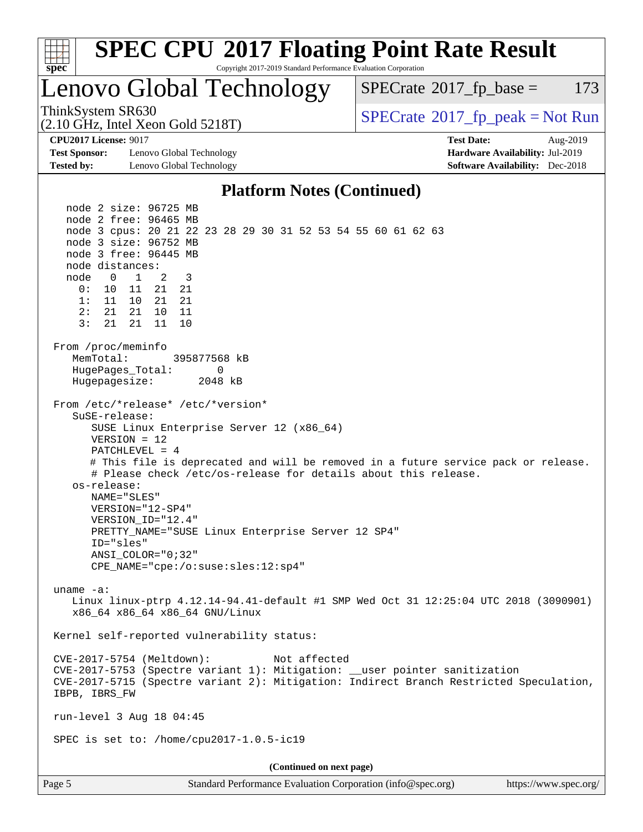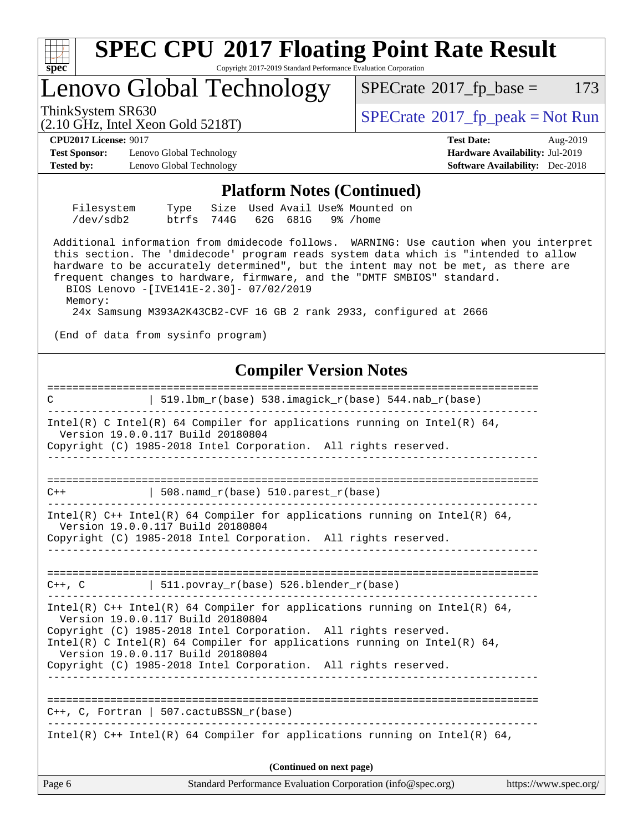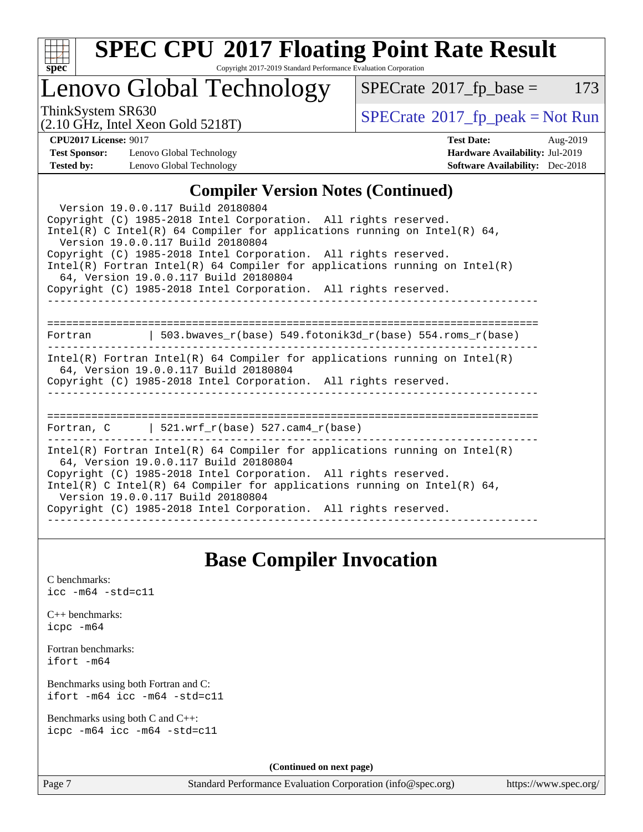

# **[SPEC CPU](http://www.spec.org/auto/cpu2017/Docs/result-fields.html#SPECCPU2017FloatingPointRateResult)[2017 Floating Point Rate Result](http://www.spec.org/auto/cpu2017/Docs/result-fields.html#SPECCPU2017FloatingPointRateResult)**

Copyright 2017-2019 Standard Performance Evaluation Corporation

## Lenovo Global Technology

 $SPECTate@2017_fp\_base = 173$ 

(2.10 GHz, Intel Xeon Gold 5218T)

ThinkSystem SR630<br>  $(2.10 \text{ GHz}_{\text{total}} \text{ York})$  Spectrate®[2017\\_fp\\_peak = N](http://www.spec.org/auto/cpu2017/Docs/result-fields.html#SPECrate2017fppeak)ot Run

**[Test Sponsor:](http://www.spec.org/auto/cpu2017/Docs/result-fields.html#TestSponsor)** Lenovo Global Technology **[Hardware Availability:](http://www.spec.org/auto/cpu2017/Docs/result-fields.html#HardwareAvailability)** Jul-2019 **[Tested by:](http://www.spec.org/auto/cpu2017/Docs/result-fields.html#Testedby)** Lenovo Global Technology **[Software Availability:](http://www.spec.org/auto/cpu2017/Docs/result-fields.html#SoftwareAvailability)** Dec-2018

**[CPU2017 License:](http://www.spec.org/auto/cpu2017/Docs/result-fields.html#CPU2017License)** 9017 **[Test Date:](http://www.spec.org/auto/cpu2017/Docs/result-fields.html#TestDate)** Aug-2019

## **[Compiler Version Notes \(Continued\)](http://www.spec.org/auto/cpu2017/Docs/result-fields.html#CompilerVersionNotes)**

| Version 19.0.0.117 Build 20180804<br>Copyright (C) 1985-2018 Intel Corporation. All rights reserved.<br>Intel(R) C Intel(R) 64 Compiler for applications running on Intel(R) 64,<br>Version 19.0.0.117 Build 20180804<br>Copyright (C) 1985-2018 Intel Corporation. All rights reserved.<br>$Intel(R)$ Fortran Intel(R) 64 Compiler for applications running on Intel(R)<br>64, Version 19.0.0.117 Build 20180804<br>Copyright (C) 1985-2018 Intel Corporation. All rights reserved. |  |  |  |  |  |
|--------------------------------------------------------------------------------------------------------------------------------------------------------------------------------------------------------------------------------------------------------------------------------------------------------------------------------------------------------------------------------------------------------------------------------------------------------------------------------------|--|--|--|--|--|
|                                                                                                                                                                                                                                                                                                                                                                                                                                                                                      |  |  |  |  |  |
| $Intel(R)$ Fortran Intel(R) 64 Compiler for applications running on Intel(R)<br>64, Version 19.0.0.117 Build 20180804<br>Copyright (C) 1985-2018 Intel Corporation. All rights reserved.                                                                                                                                                                                                                                                                                             |  |  |  |  |  |
| Fortran, C $\vert$ 521.wrf r(base) 527.cam4 r(base)                                                                                                                                                                                                                                                                                                                                                                                                                                  |  |  |  |  |  |
| $Intel(R)$ Fortran Intel(R) 64 Compiler for applications running on Intel(R)<br>64, Version 19.0.0.117 Build 20180804<br>Copyright (C) 1985-2018 Intel Corporation. All rights reserved.<br>Intel(R) C Intel(R) 64 Compiler for applications running on Intel(R) 64,<br>Version 19.0.0.117 Build 20180804<br>Copyright (C) 1985-2018 Intel Corporation. All rights reserved.                                                                                                         |  |  |  |  |  |

## **[Base Compiler Invocation](http://www.spec.org/auto/cpu2017/Docs/result-fields.html#BaseCompilerInvocation)**

[C benchmarks](http://www.spec.org/auto/cpu2017/Docs/result-fields.html#Cbenchmarks): [icc -m64 -std=c11](http://www.spec.org/cpu2017/results/res2019q3/cpu2017-20190819-17051.flags.html#user_CCbase_intel_icc_64bit_c11_33ee0cdaae7deeeab2a9725423ba97205ce30f63b9926c2519791662299b76a0318f32ddfffdc46587804de3178b4f9328c46fa7c2b0cd779d7a61945c91cd35)

| $C_{++}$ benchmarks: |  |  |  |  |  |
|----------------------|--|--|--|--|--|
| icpc -m64            |  |  |  |  |  |

[Fortran benchmarks](http://www.spec.org/auto/cpu2017/Docs/result-fields.html#Fortranbenchmarks): [ifort -m64](http://www.spec.org/cpu2017/results/res2019q3/cpu2017-20190819-17051.flags.html#user_FCbase_intel_ifort_64bit_24f2bb282fbaeffd6157abe4f878425411749daecae9a33200eee2bee2fe76f3b89351d69a8130dd5949958ce389cf37ff59a95e7a40d588e8d3a57e0c3fd751)

[Benchmarks using both Fortran and C](http://www.spec.org/auto/cpu2017/Docs/result-fields.html#BenchmarksusingbothFortranandC): [ifort -m64](http://www.spec.org/cpu2017/results/res2019q3/cpu2017-20190819-17051.flags.html#user_CC_FCbase_intel_ifort_64bit_24f2bb282fbaeffd6157abe4f878425411749daecae9a33200eee2bee2fe76f3b89351d69a8130dd5949958ce389cf37ff59a95e7a40d588e8d3a57e0c3fd751) [icc -m64 -std=c11](http://www.spec.org/cpu2017/results/res2019q3/cpu2017-20190819-17051.flags.html#user_CC_FCbase_intel_icc_64bit_c11_33ee0cdaae7deeeab2a9725423ba97205ce30f63b9926c2519791662299b76a0318f32ddfffdc46587804de3178b4f9328c46fa7c2b0cd779d7a61945c91cd35)

[Benchmarks using both C and C++](http://www.spec.org/auto/cpu2017/Docs/result-fields.html#BenchmarksusingbothCandCXX): [icpc -m64](http://www.spec.org/cpu2017/results/res2019q3/cpu2017-20190819-17051.flags.html#user_CC_CXXbase_intel_icpc_64bit_4ecb2543ae3f1412ef961e0650ca070fec7b7afdcd6ed48761b84423119d1bf6bdf5cad15b44d48e7256388bc77273b966e5eb805aefd121eb22e9299b2ec9d9) [icc -m64 -std=c11](http://www.spec.org/cpu2017/results/res2019q3/cpu2017-20190819-17051.flags.html#user_CC_CXXbase_intel_icc_64bit_c11_33ee0cdaae7deeeab2a9725423ba97205ce30f63b9926c2519791662299b76a0318f32ddfffdc46587804de3178b4f9328c46fa7c2b0cd779d7a61945c91cd35)

**(Continued on next page)**

Page 7 Standard Performance Evaluation Corporation [\(info@spec.org\)](mailto:info@spec.org) <https://www.spec.org/>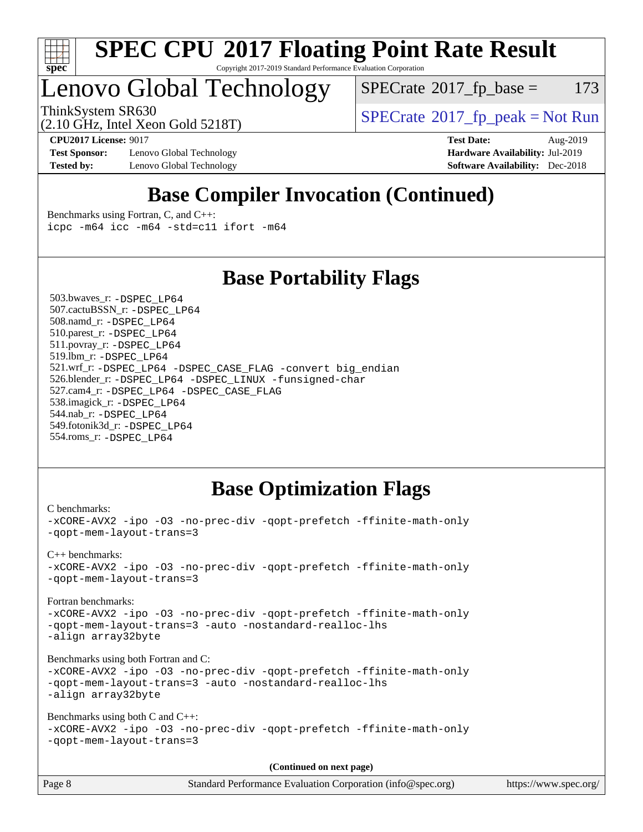

# Lenovo Global Technology

 $SPECTate$ <sup>®</sup>[2017\\_fp\\_base =](http://www.spec.org/auto/cpu2017/Docs/result-fields.html#SPECrate2017fpbase) 173

(2.10 GHz, Intel Xeon Gold 5218T)

ThinkSystem SR630<br>  $SPECTR_{12}$  [SPECrate](http://www.spec.org/auto/cpu2017/Docs/result-fields.html#SPECrate2017fppeak)®[2017\\_fp\\_peak = N](http://www.spec.org/auto/cpu2017/Docs/result-fields.html#SPECrate2017fppeak)ot Run

**[Test Sponsor:](http://www.spec.org/auto/cpu2017/Docs/result-fields.html#TestSponsor)** Lenovo Global Technology **[Hardware Availability:](http://www.spec.org/auto/cpu2017/Docs/result-fields.html#HardwareAvailability)** Jul-2019 **[Tested by:](http://www.spec.org/auto/cpu2017/Docs/result-fields.html#Testedby)** Lenovo Global Technology **[Software Availability:](http://www.spec.org/auto/cpu2017/Docs/result-fields.html#SoftwareAvailability)** Dec-2018

**[CPU2017 License:](http://www.spec.org/auto/cpu2017/Docs/result-fields.html#CPU2017License)** 9017 **[Test Date:](http://www.spec.org/auto/cpu2017/Docs/result-fields.html#TestDate)** Aug-2019

## **[Base Compiler Invocation \(Continued\)](http://www.spec.org/auto/cpu2017/Docs/result-fields.html#BaseCompilerInvocation)**

[Benchmarks using Fortran, C, and C++:](http://www.spec.org/auto/cpu2017/Docs/result-fields.html#BenchmarksusingFortranCandCXX) [icpc -m64](http://www.spec.org/cpu2017/results/res2019q3/cpu2017-20190819-17051.flags.html#user_CC_CXX_FCbase_intel_icpc_64bit_4ecb2543ae3f1412ef961e0650ca070fec7b7afdcd6ed48761b84423119d1bf6bdf5cad15b44d48e7256388bc77273b966e5eb805aefd121eb22e9299b2ec9d9) [icc -m64 -std=c11](http://www.spec.org/cpu2017/results/res2019q3/cpu2017-20190819-17051.flags.html#user_CC_CXX_FCbase_intel_icc_64bit_c11_33ee0cdaae7deeeab2a9725423ba97205ce30f63b9926c2519791662299b76a0318f32ddfffdc46587804de3178b4f9328c46fa7c2b0cd779d7a61945c91cd35) [ifort -m64](http://www.spec.org/cpu2017/results/res2019q3/cpu2017-20190819-17051.flags.html#user_CC_CXX_FCbase_intel_ifort_64bit_24f2bb282fbaeffd6157abe4f878425411749daecae9a33200eee2bee2fe76f3b89351d69a8130dd5949958ce389cf37ff59a95e7a40d588e8d3a57e0c3fd751)

## **[Base Portability Flags](http://www.spec.org/auto/cpu2017/Docs/result-fields.html#BasePortabilityFlags)**

 503.bwaves\_r: [-DSPEC\\_LP64](http://www.spec.org/cpu2017/results/res2019q3/cpu2017-20190819-17051.flags.html#suite_basePORTABILITY503_bwaves_r_DSPEC_LP64) 507.cactuBSSN\_r: [-DSPEC\\_LP64](http://www.spec.org/cpu2017/results/res2019q3/cpu2017-20190819-17051.flags.html#suite_basePORTABILITY507_cactuBSSN_r_DSPEC_LP64) 508.namd\_r: [-DSPEC\\_LP64](http://www.spec.org/cpu2017/results/res2019q3/cpu2017-20190819-17051.flags.html#suite_basePORTABILITY508_namd_r_DSPEC_LP64) 510.parest\_r: [-DSPEC\\_LP64](http://www.spec.org/cpu2017/results/res2019q3/cpu2017-20190819-17051.flags.html#suite_basePORTABILITY510_parest_r_DSPEC_LP64) 511.povray\_r: [-DSPEC\\_LP64](http://www.spec.org/cpu2017/results/res2019q3/cpu2017-20190819-17051.flags.html#suite_basePORTABILITY511_povray_r_DSPEC_LP64) 519.lbm\_r: [-DSPEC\\_LP64](http://www.spec.org/cpu2017/results/res2019q3/cpu2017-20190819-17051.flags.html#suite_basePORTABILITY519_lbm_r_DSPEC_LP64) 521.wrf\_r: [-DSPEC\\_LP64](http://www.spec.org/cpu2017/results/res2019q3/cpu2017-20190819-17051.flags.html#suite_basePORTABILITY521_wrf_r_DSPEC_LP64) [-DSPEC\\_CASE\\_FLAG](http://www.spec.org/cpu2017/results/res2019q3/cpu2017-20190819-17051.flags.html#b521.wrf_r_baseCPORTABILITY_DSPEC_CASE_FLAG) [-convert big\\_endian](http://www.spec.org/cpu2017/results/res2019q3/cpu2017-20190819-17051.flags.html#user_baseFPORTABILITY521_wrf_r_convert_big_endian_c3194028bc08c63ac5d04de18c48ce6d347e4e562e8892b8bdbdc0214820426deb8554edfa529a3fb25a586e65a3d812c835984020483e7e73212c4d31a38223) 526.blender\_r: [-DSPEC\\_LP64](http://www.spec.org/cpu2017/results/res2019q3/cpu2017-20190819-17051.flags.html#suite_basePORTABILITY526_blender_r_DSPEC_LP64) [-DSPEC\\_LINUX](http://www.spec.org/cpu2017/results/res2019q3/cpu2017-20190819-17051.flags.html#b526.blender_r_baseCPORTABILITY_DSPEC_LINUX) [-funsigned-char](http://www.spec.org/cpu2017/results/res2019q3/cpu2017-20190819-17051.flags.html#user_baseCPORTABILITY526_blender_r_force_uchar_40c60f00ab013830e2dd6774aeded3ff59883ba5a1fc5fc14077f794d777847726e2a5858cbc7672e36e1b067e7e5c1d9a74f7176df07886a243d7cc18edfe67) 527.cam4\_r: [-DSPEC\\_LP64](http://www.spec.org/cpu2017/results/res2019q3/cpu2017-20190819-17051.flags.html#suite_basePORTABILITY527_cam4_r_DSPEC_LP64) [-DSPEC\\_CASE\\_FLAG](http://www.spec.org/cpu2017/results/res2019q3/cpu2017-20190819-17051.flags.html#b527.cam4_r_baseCPORTABILITY_DSPEC_CASE_FLAG) 538.imagick\_r: [-DSPEC\\_LP64](http://www.spec.org/cpu2017/results/res2019q3/cpu2017-20190819-17051.flags.html#suite_basePORTABILITY538_imagick_r_DSPEC_LP64) 544.nab\_r: [-DSPEC\\_LP64](http://www.spec.org/cpu2017/results/res2019q3/cpu2017-20190819-17051.flags.html#suite_basePORTABILITY544_nab_r_DSPEC_LP64) 549.fotonik3d\_r: [-DSPEC\\_LP64](http://www.spec.org/cpu2017/results/res2019q3/cpu2017-20190819-17051.flags.html#suite_basePORTABILITY549_fotonik3d_r_DSPEC_LP64) 554.roms\_r: [-DSPEC\\_LP64](http://www.spec.org/cpu2017/results/res2019q3/cpu2017-20190819-17051.flags.html#suite_basePORTABILITY554_roms_r_DSPEC_LP64)

## **[Base Optimization Flags](http://www.spec.org/auto/cpu2017/Docs/result-fields.html#BaseOptimizationFlags)**

```
C benchmarks: 
-xCORE-AVX2 -ipo -O3 -no-prec-div -qopt-prefetch -ffinite-math-only
-qopt-mem-layout-trans=3
C++ benchmarks: 
-xCORE-AVX2 -ipo -O3 -no-prec-div -qopt-prefetch -ffinite-math-only
-qopt-mem-layout-trans=3
Fortran benchmarks: 
-xCORE-AVX2 -ipo -O3 -no-prec-div -qopt-prefetch -ffinite-math-only
-qopt-mem-layout-trans=3 -auto -nostandard-realloc-lhs
-align array32byte
Benchmarks using both Fortran and C: 
-xCORE-AVX2 -ipo -O3 -no-prec-div -qopt-prefetch -ffinite-math-only
-qopt-mem-layout-trans=3 -auto -nostandard-realloc-lhs
-align array32byte
Benchmarks using both C and C++: 
-xCORE-AVX2 -ipo -O3 -no-prec-div -qopt-prefetch -ffinite-math-only
-qopt-mem-layout-trans=3
                                      (Continued on next page)
```